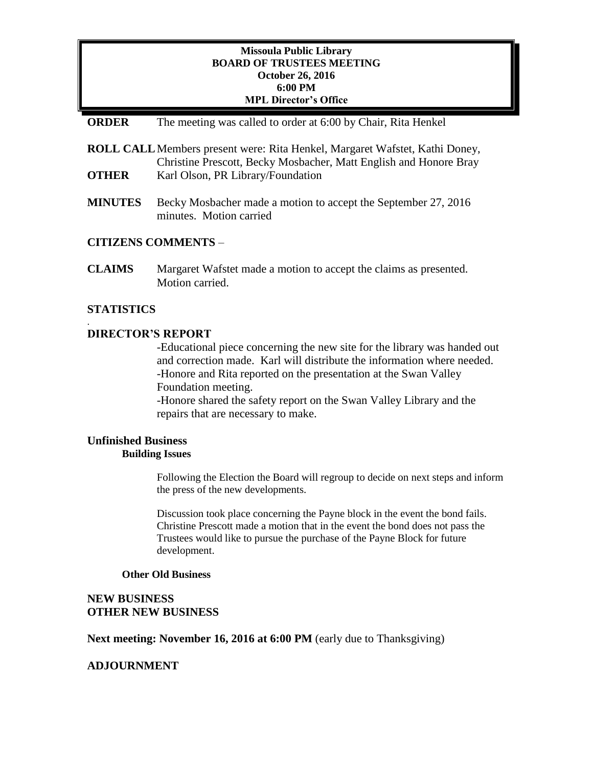## **Missoula Public Library BOARD OF TRUSTEES MEETING October 26, 2016 6:00 PM MPL Director's Office**

#### **ORDER** The meeting was called to order at 6:00 by Chair, Rita Henkel

- **ROLL CALL**Members present were: Rita Henkel, Margaret Wafstet, Kathi Doney, Christine Prescott, Becky Mosbacher, Matt English and Honore Bray **OTHER** Karl Olson, PR Library/Foundation
- **MINUTES** Becky Mosbacher made a motion to accept the September 27, 2016 minutes. Motion carried

#### **CITIZENS COMMENTS** –

**CLAIMS** Margaret Wafstet made a motion to accept the claims as presented. Motion carried.

# **STATISTICS**

.

# **DIRECTOR'S REPORT**

-Educational piece concerning the new site for the library was handed out and correction made. Karl will distribute the information where needed. -Honore and Rita reported on the presentation at the Swan Valley Foundation meeting.

-Honore shared the safety report on the Swan Valley Library and the repairs that are necessary to make.

#### **Unfinished Business Building Issues**

Following the Election the Board will regroup to decide on next steps and inform the press of the new developments.

Discussion took place concerning the Payne block in the event the bond fails. Christine Prescott made a motion that in the event the bond does not pass the Trustees would like to pursue the purchase of the Payne Block for future development.

#### **Other Old Business**

# **NEW BUSINESS OTHER NEW BUSINESS**

**Next meeting: November 16, 2016 at 6:00 PM** (early due to Thanksgiving)

# **ADJOURNMENT**